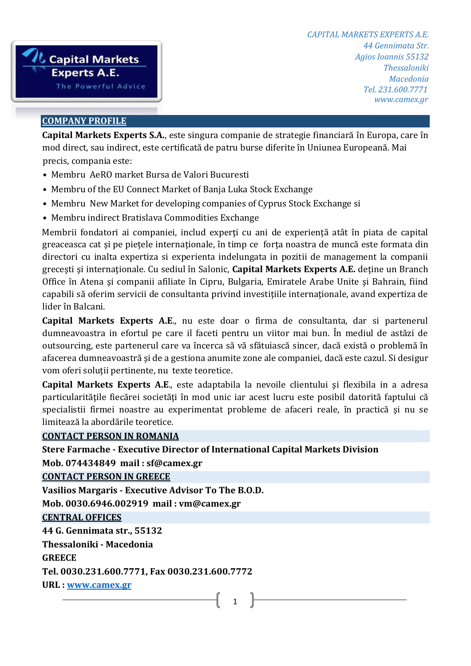

#### **COMPANY PROFILE**

precis, compania este: **Capital Markets Experts S.A.**, este singura companie de strategie financiară în Europa, care în mod direct, sau indirect, este certificată de patru burse diferite în Uniunea Europeană. Mai

- Membru AeRO market Bursa de Valori Bucuresti
- Membru of the EU Connect Market of Banja Luka Stock Exchange
- Membru New Market for developing companies of Cyprus Stock Exchange si
- Membru indirect Bratislava Commodities Exchange

Membrii fondatori ai companiei, includ experti cu ani de experiență atât în piata de capital greaceasca cat şi pe pieţele internaţionale, în timp ce forţa noastra de muncă este formata din directori cu inalta expertiza si experienta indelungata in pozitii de management la companii greceşti şi internaţionale. Cu sediul în Salonic, **Capital Markets Experts A.E.** deţine un Branch Office în Atena şi companii afiliate în Cipru, Bulgaria, Emiratele Arabe Unite şi Bahrain, fiind capabili să oferim servicii de consultanta privind investiţiile internaţionale, avand expertiza de lider în Balcani.

**Capital Markets Experts A.E**., nu este doar o firma de consultanta, dar si partenerul dumneavoastra in efortul pe care il faceti pentru un viitor mai bun. În mediul de astăzi de outsourcing, este partenerul care va încerca să vă sfătuiască sincer, dacă există o problemă în afacerea dumneavoastră şi de a gestiona anumite zone ale companiei, dacă este cazul. Si desigur vom oferi soluţii pertinente, nu texte teoretice.

**Capital Markets Experts A.E**., este adaptabila la nevoile clientului şi flexibila in a adresa particularitățile fiecărei societăți în mod unic iar acest lucru este posibil datorită faptului că specialistii firmei noastre au experimentat probleme de afaceri reale, în practică şi nu se limitează la abordările teoretice.

#### **CONTACT PERSON IN ROMANIA**

### **Stere Farmache - Executive Director of International Capital Markets Division**

**Mob. 074434849 mail : sf@camex.gr**

**CONTACT PERSON IN GREECE**

**Vasilios Margaris - Executive Advisor To The B.O.D.** 

**Mob. 0030.6946.002919 mail : vm@camex.gr**

**CENTRAL OFFICES**

**44 G. Gennimata str., 55132** 

**Thessaloniki - Macedonia** 

**GREECE** 

**Tel. 0030.231.600.7771, Fax 0030.231.600.7772** 

**URL : [www.camex.gr](http://www.camex.gr/)**

# 1